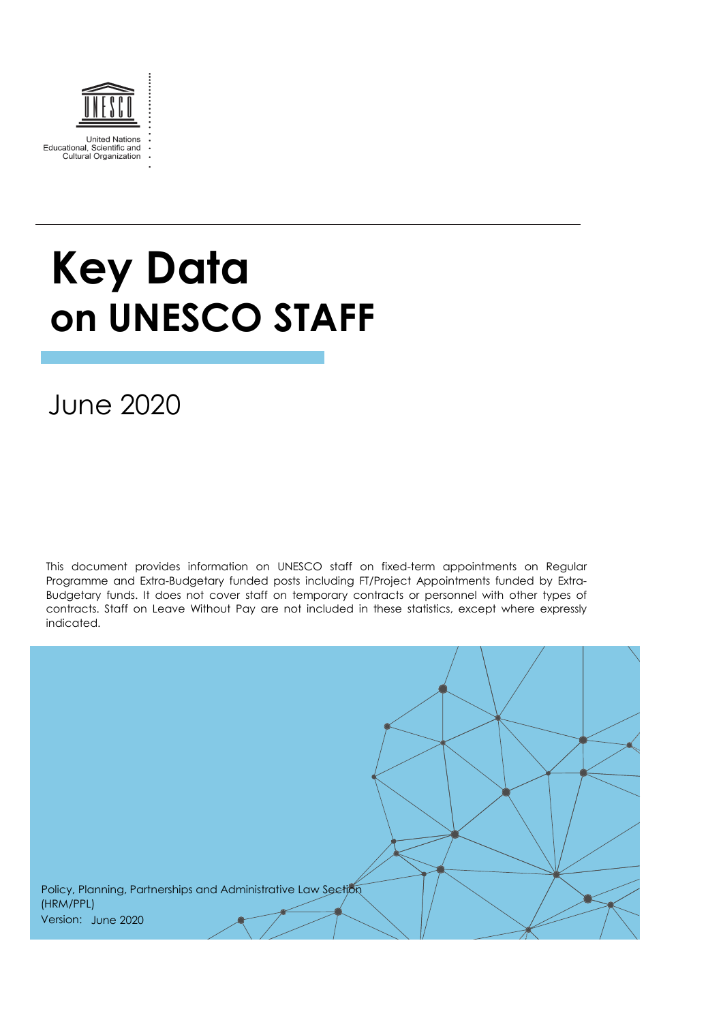

# **Key Data on UNESCO STAFF**

June 2020

This document provides information on UNESCO staff on fixed-term appointments on Regular Programme and Extra-Budgetary funded posts including FT/Project Appointments funded by Extra-Budgetary funds. It does not cover staff on temporary contracts or personnel with other types of contracts. Staff on Leave Without Pay are not included in these statistics, except where expressly indicated.

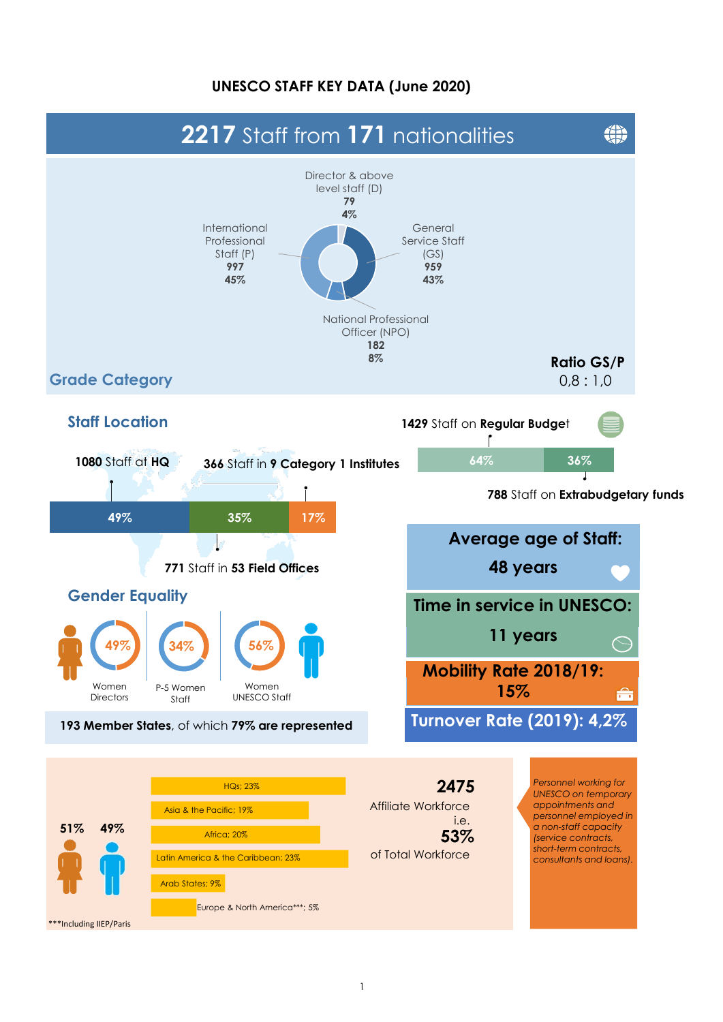#### **UNESCO STAFF KEY DATA (June 2020)**

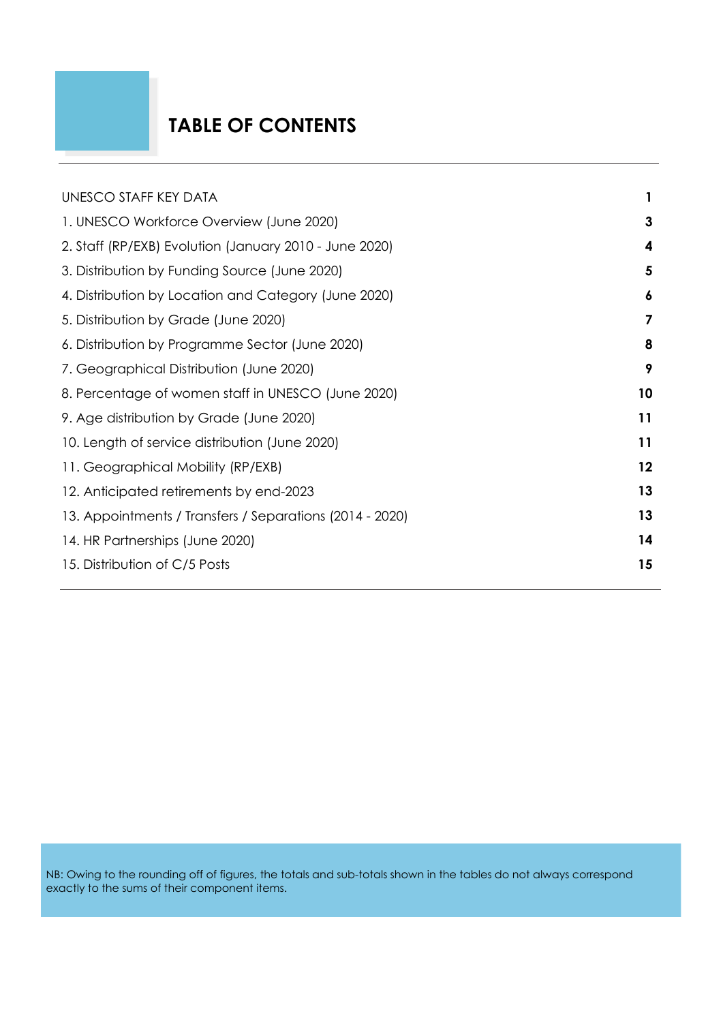# **TABLE OF CONTENTS**

| UNESCO STAFF KEY DATA                                    |    |
|----------------------------------------------------------|----|
| 1. UNESCO Workforce Overview (June 2020)                 | 3  |
| 2. Staff (RP/EXB) Evolution (January 2010 - June 2020)   | 4  |
| 3. Distribution by Funding Source (June 2020)            | 5  |
| 4. Distribution by Location and Category (June 2020)     | 6  |
| 5. Distribution by Grade (June 2020)                     | 7  |
| 6. Distribution by Programme Sector (June 2020)          | 8  |
| 7. Geographical Distribution (June 2020)                 | 9  |
| 8. Percentage of women staff in UNESCO (June 2020)       | 10 |
| 9. Age distribution by Grade (June 2020)                 | 11 |
| 10. Length of service distribution (June 2020)           | 11 |
| 11. Geographical Mobility (RP/EXB)                       | 12 |
| 12. Anticipated retirements by end-2023                  | 13 |
| 13. Appointments / Transfers / Separations (2014 - 2020) | 13 |
| 14. HR Partnerships (June 2020)                          | 14 |
| 15. Distribution of C/5 Posts                            | 15 |
|                                                          |    |

NB: Owing to the rounding off of figures, the totals and sub-totals shown in the tables do not always correspond exactly to the sums of their component items.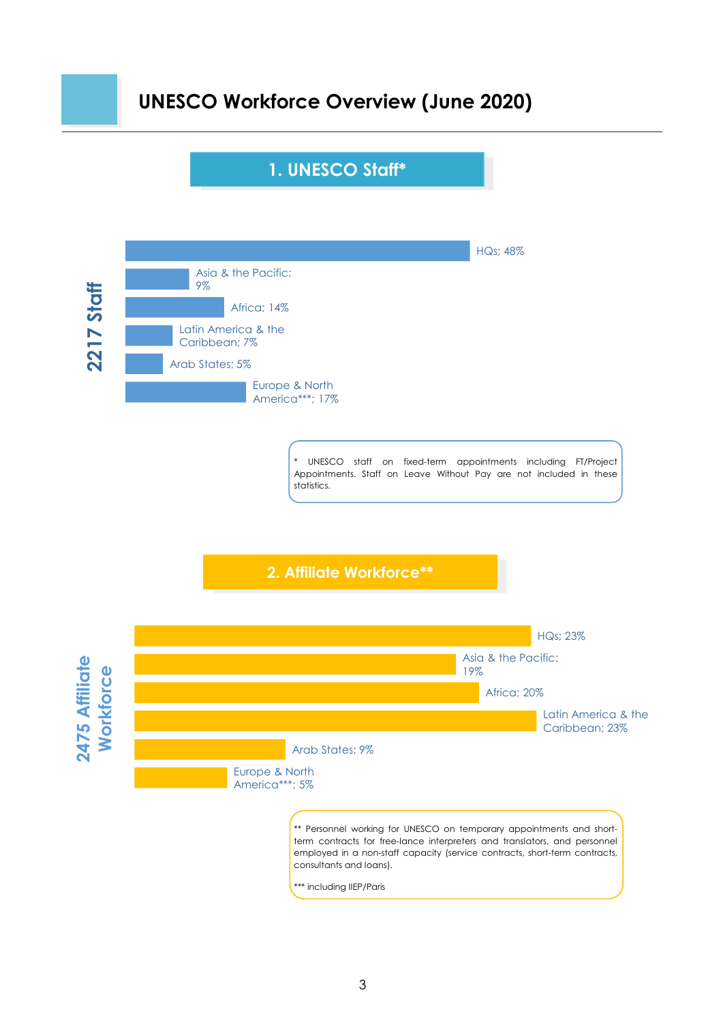### **UNESCO Workforce Overview (June 2020)**

#### **1. UNESCO Staff\***



UNESCO staff on fixed-term appointments including FT/Project Appointments. Staff on Leave Without Pay are not included in these statistics.

**2. Affiliate Workforce\*\***

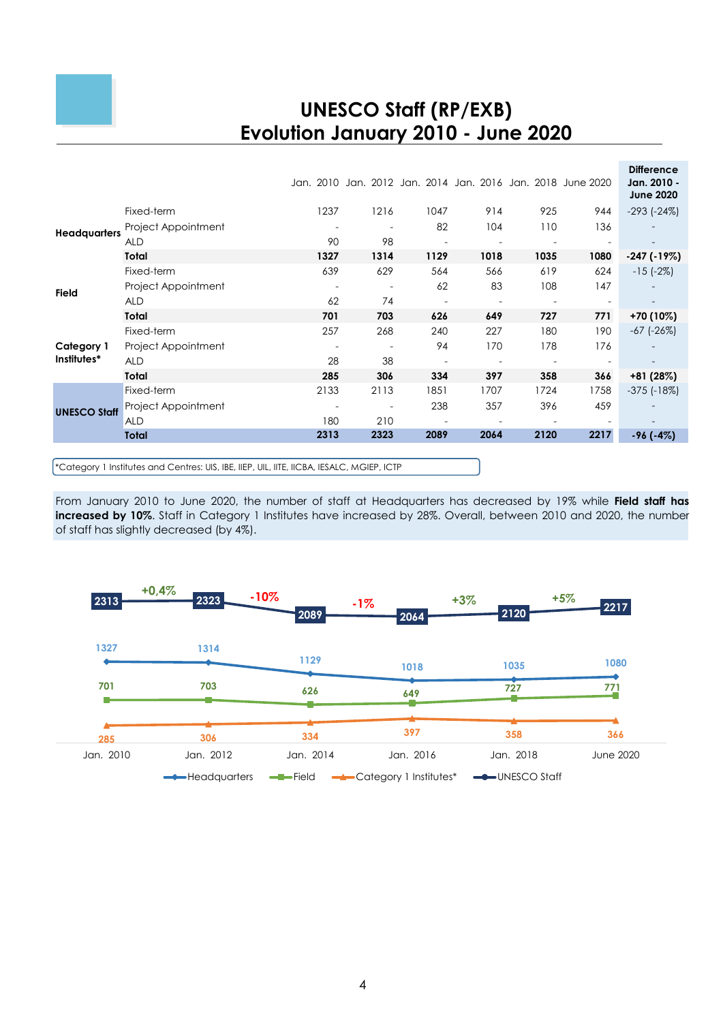## **UNESCO Staff (RP/EXB) Evolution January 2010 - June 2020**

|                     | Fixed-term<br>Project Appointment | 1237 | 1216           | 1047<br>82 | Jan, 2010 Jan, 2012 Jan, 2014 Jan, 2016 Jan, 2018 June 2020<br>914<br>104 | 925<br>110 | 944<br>136 | <b>Difference</b><br>Jan. 2010 -<br><b>June 2020</b><br>$-293$ $(-24%)$ |
|---------------------|-----------------------------------|------|----------------|------------|---------------------------------------------------------------------------|------------|------------|-------------------------------------------------------------------------|
| <b>Headquarters</b> | <b>ALD</b>                        | 90   | 98             |            |                                                                           |            |            |                                                                         |
|                     | Total                             | 1327 | 1314           | 1129       | 1018                                                                      | 1035       | 1080       | $-247$ ( $-19\%$ )                                                      |
| <b>Field</b>        | Fixed-term                        | 639  | 629            | 564        | 566                                                                       | 619        | 624        | $-15$ ( $-2\%$ )                                                        |
|                     | Project Appointment               |      | $\overline{a}$ | 62         | 83                                                                        | 108        | 147        |                                                                         |
|                     | ALD                               | 62   | 74             |            |                                                                           |            |            |                                                                         |
|                     | Total                             | 701  | 703            | 626        | 649                                                                       | 727        | 771        | +70 (10%)                                                               |
|                     | Fixed-term                        | 257  | 268            | 240        | 227                                                                       | 180        | 190        | -67 (-26%)                                                              |
| Category 1          | Project Appointment               |      |                | 94         | 170                                                                       | 178        | 176        |                                                                         |
| Institutes*         | <b>ALD</b>                        | 28   | 38             |            |                                                                           |            |            |                                                                         |
|                     | Total                             | 285  | 306            | 334        | 397                                                                       | 358        | 366        | +81 (28%)                                                               |
|                     | Fixed-term                        | 2133 | 2113           | 1851       | 1707                                                                      | 1724       | 1758       | $-375$ ( $-18\%$ )                                                      |
| <b>UNESCO Staff</b> | Project Appointment               |      |                | 238        | 357                                                                       | 396        | 459        |                                                                         |
|                     | <b>ALD</b>                        | 180  | 210            |            |                                                                           |            |            |                                                                         |
|                     | Total                             | 2313 | 2323           | 2089       | 2064                                                                      | 2120       | 2217       | $-96(-4%)$                                                              |
|                     |                                   |      |                |            |                                                                           |            |            |                                                                         |

\*Category 1 Institutes and Centres: UIS, IBE, IIEP, UIL, IITE, IICBA, IESALC, MGIEP, ICTP

From January 2010 to June 2020, the number of staff at Headquarters has decreased by 19% while **Field staff has increased by 10%**. Staff in Category 1 Institutes have increased by 28%. Overall, between 2010 and 2020, the number of staff has slightly decreased (by 4%).

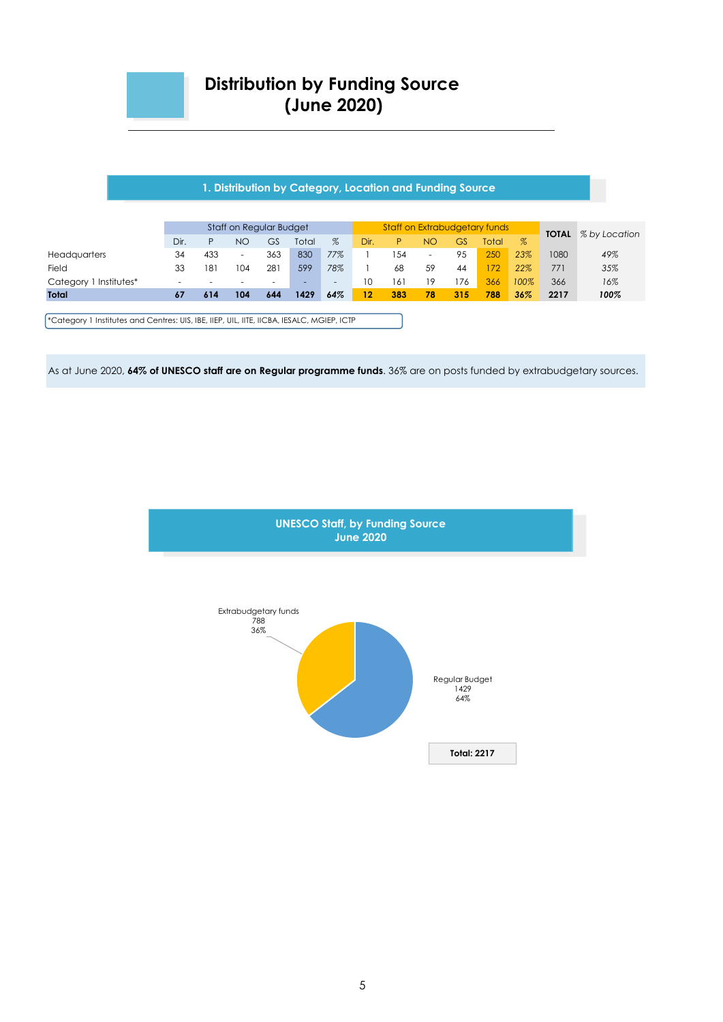

#### **1. Distribution by Category, Location and Funding Source**

|                           | Staff on Regular Budget |                          |                          |     |       |                          |      | Staff on Extrabudgetary funds |                          |     |       |      |              | % by Location |
|---------------------------|-------------------------|--------------------------|--------------------------|-----|-------|--------------------------|------|-------------------------------|--------------------------|-----|-------|------|--------------|---------------|
|                           | Dir.                    | P                        | NO                       | GS  | Total | $\%$                     | Dir. | P                             | <b>NO</b>                | GS  | Total | $\%$ | <b>TOTAL</b> |               |
| <b>Headquarters</b>       | 34                      | 433                      | $\overline{\phantom{a}}$ | 363 | 830   | 77%                      |      | 54                            | $\overline{\phantom{a}}$ | 95  | 250   | 23%  | 1080         | 49%           |
| Field                     | 33                      | 181                      | 104                      | 281 | 599   | 78%                      |      | 68                            | 59                       | 44  | 72    | 22%  | 771          | 35%           |
| Institutes*<br>Category 1 | -                       | $\overline{\phantom{a}}$ | $\overline{\phantom{a}}$ | -   | ۰.    | $\overline{\phantom{a}}$ | 10   | 161                           | 19                       | .76 | 366   | 100% | 366          | 16%           |
| <b>Total</b>              | 67                      | 614                      | 104                      | 644 | 1429  | 64%                      | 12   | 383                           | 78                       | 315 | 788   | 36%  | 2217         | 100%          |
|                           |                         |                          |                          |     |       |                          |      |                               |                          |     |       |      |              |               |

\*Category 1 Institutes and Centres: UIS, IBE, IIEP, UIL, IITE, IICBA, IESALC, MGIEP, ICTP

As at June 2020, **64% of UNESCO staff are on Regular programme funds**. 36% are on posts funded by extrabudgetary sources.



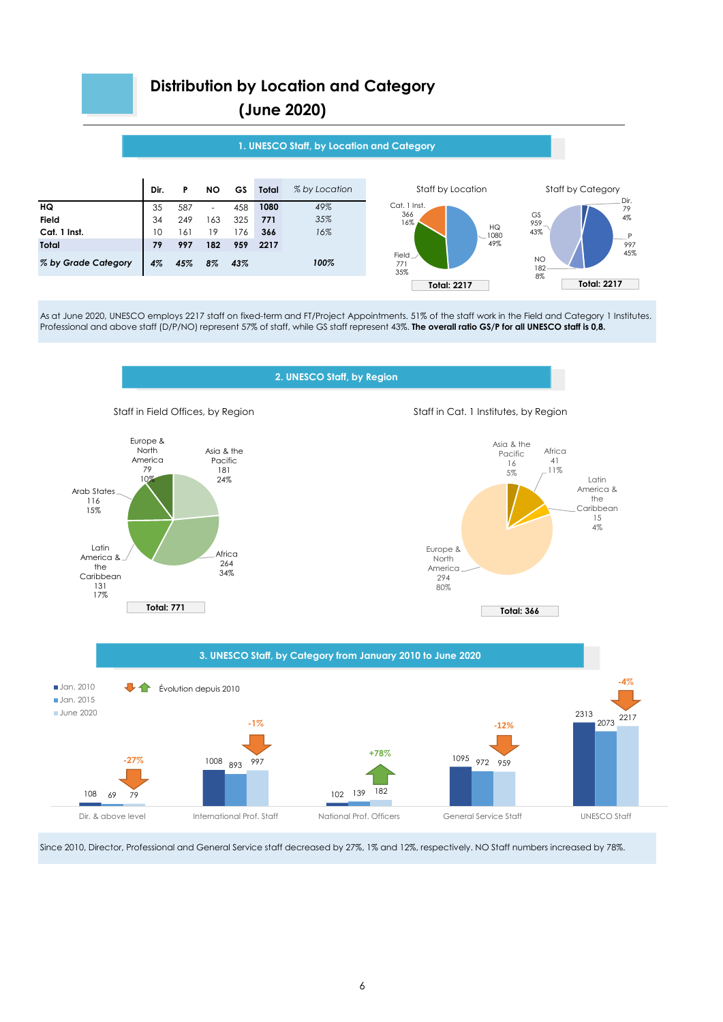

As at June 2020, UNESCO employs 2217 staff on fixed-term and FT/Project Appointments. 51% of the staff work in the Field and Category 1 Institutes. Professional and above staff (D/P/NO) represent 57% of staff, while GS staff represent 43%. **The overall ratio GS/P for all UNESCO staff is 0,8.**





Staff in Field Offices, by Region Staff in Cat. 1 Institutes, by Region





Since 2010, Director, Professional and General Service staff decreased by 27%, 1% and 12%, respectively. NO Staff numbers increased by 78%.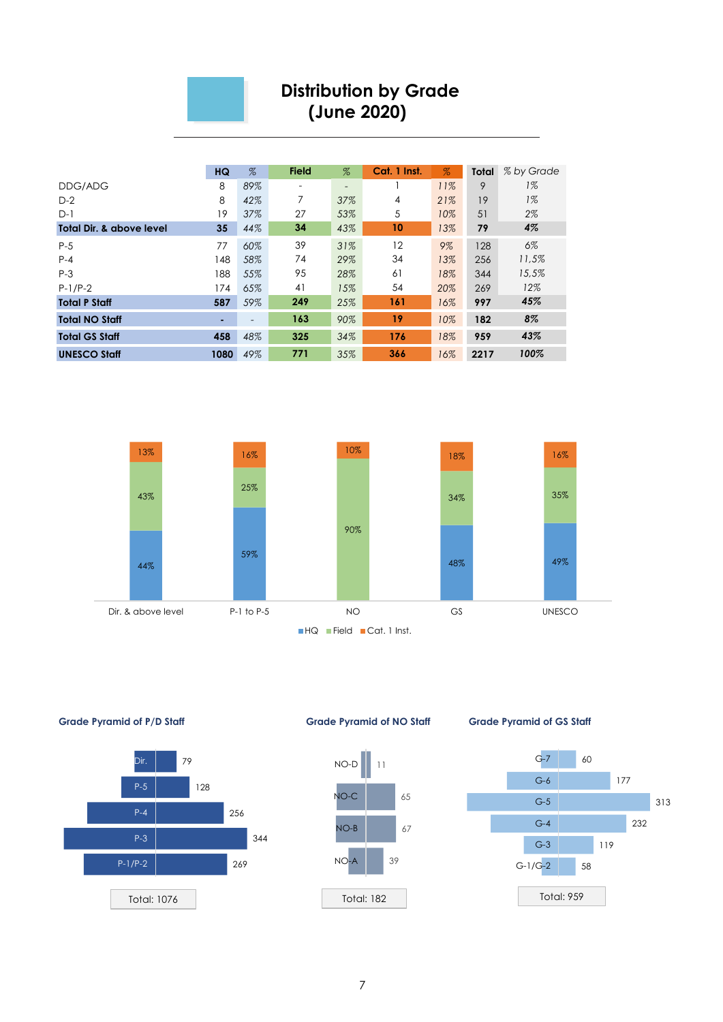

#### **Distribution by Grade (June 2020)**

|                          | <b>HQ</b> | $\%$                     | <b>Field</b> | $\%$ | Cat. 1 Inst. | $\%$ | <b>Total</b> | % by Grade |
|--------------------------|-----------|--------------------------|--------------|------|--------------|------|--------------|------------|
| DDG/ADG                  | 8         | 89%                      |              | Ξ.   |              | 11%  | 9            | $1\%$      |
| $D-2$                    | 8         | 42%                      | 7            | 37%  | 4            | 21%  | 19           | $1\%$      |
| $D-1$                    | 19        | 37%                      | 27           | 53%  | 5            | 10%  | 51           | 2%         |
| Total Dir. & above level | 35        | 44%                      | 34           | 43%  | 10           | 13%  | 79           | 4%         |
| $P-5$                    | 77        | 60%                      | 39           | 31%  | 12           | 9%   | 128          | 6%         |
| $P-4$                    | 148       | 58%                      | 74           | 29%  | 34           | 13%  | 256          | 11,5%      |
| $P-3$                    | 188       | 55%                      | 95           | 28%  | 61           | 18%  | 344          | 15.5%      |
| $P-1/P-2$                | 174       | 65%                      | 41           | 15%  | 54           | 20%  | 269          | 12%        |
| <b>Total P Staff</b>     | 587       | 59%                      | 249          | 25%  | 161          | 16%  | 997          | 45%        |
| <b>Total NO Staff</b>    | ٠         | $\overline{\phantom{a}}$ | 163          | 90%  | 19           | 10%  | 182          | 8%         |
| <b>Total GS Staff</b>    | 458       | 48%                      | 325          | 34%  | 176          | 18%  | 959          | 43%        |
| <b>UNESCO Staff</b>      | 1080      | 49%                      | 771          | 35%  | 366          | 16%  | 2217         | 100%       |





**Grade Pyramid of P/D Staff Grade Pyramid of NO Staff Grade Pyramid of GS Staff**



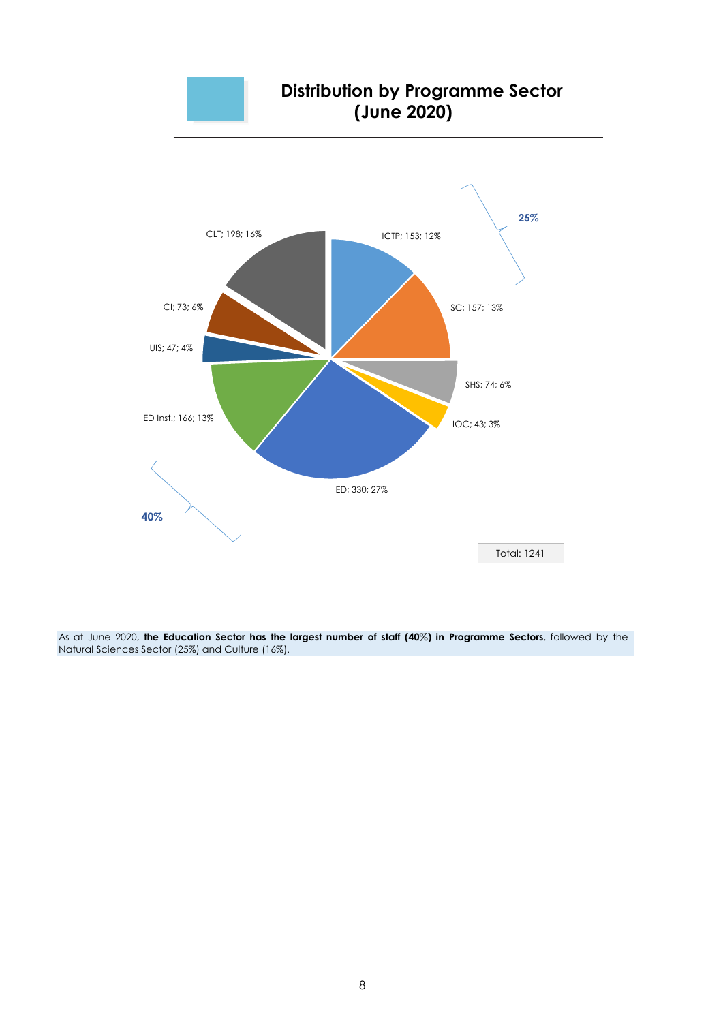

#### **Distribution by Programme Sector (June 2020)**



As at June 2020, **the Education Sector has the largest number of staff (40%) in Programme Sectors**, followed by the Natural Sciences Sector (25%) and Culture (16%).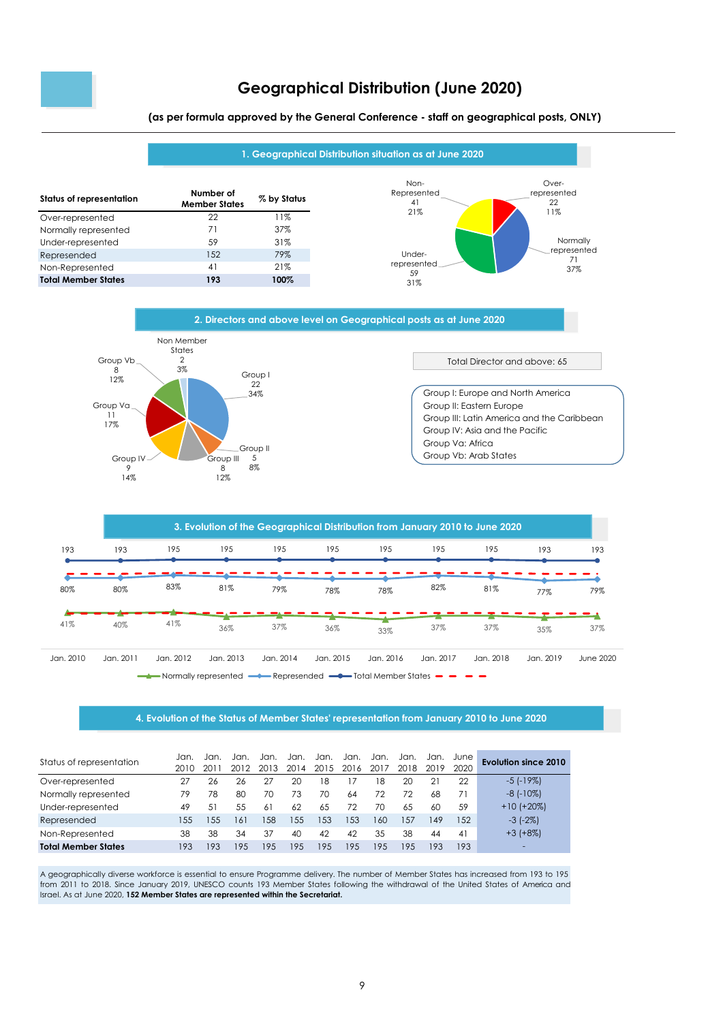

#### **Geographical Distribution (June 2020)**

**(as per formula approved by the General Conference - staff on geographical posts, ONLY)**







#### **4. Evolution of the Status of Member States' representation from January 2010 to June 2020**

| Status of representation   | Jan.<br>2010 | Jan. | Jan. | Jan.<br>201 | Jan.<br>20. | Jan.<br>2015 | Jan.<br>2016 | Jan.<br>2017 | Jan.<br>2018 | Jan. | June<br>2020 | Evolution since 2010 |
|----------------------------|--------------|------|------|-------------|-------------|--------------|--------------|--------------|--------------|------|--------------|----------------------|
| Over-represented           | 27           | 26   | 26   | 27          | 20          | 18           |              | 8            | 20           | 21   | 22           | $-5$ ( $-19\%$ )     |
| Normally represented       | 79           | 78   | 80   | 70          | 73          | 70           | 64           | 72           | 72           | 68   | 71           | $-8$ ( $-10\%$ )     |
| Under-represented          | 49           | 51   | 55   | 61          | 62          | 65           | 72           | 70           | 6.5          | 60   | 59           | $+10$ (+20%)         |
| Represended                | 155          | 155  | 161  | .58         | 155         | 153          | 153          | 160          | 157          | 149  | 1.52         | $-3$ $(-2\%)$        |
| Non-Represented            | 38           | 38   | 34   | 37          | 40          | 42           | 42           | 35           | 38           | 44   | 41           | $+3$ ( $+8\%$ )      |
| <b>Total Member States</b> | 193          | 193  | 195  | 195         | 195         | 195          | 19.5         | 195          | 195          | 193  | 193          | -                    |

A geographically diverse workforce is essential to ensure Programme delivery. The number of Member States has increased from 193 to 195 from 2011 to 2018. Since January 2019, UNESCO counts 193 Member States following the withdrawal of the United States of America and Israel. As at June 2020, **152 Member States are represented within the Secretariat.**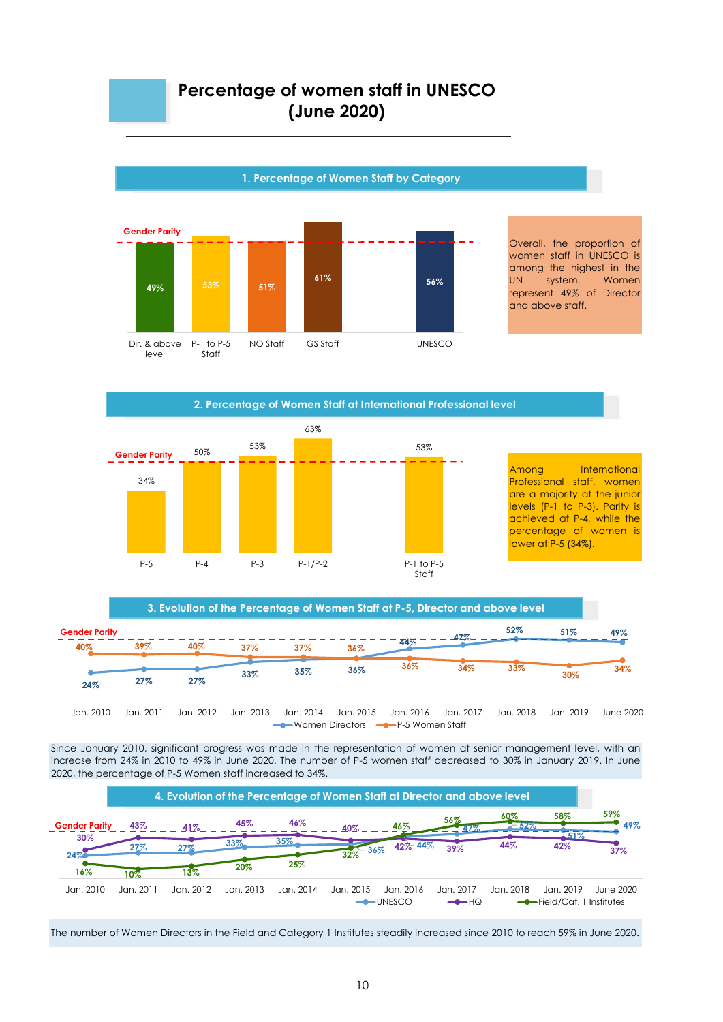#### **Percentage of women staff in UNESCO (June 2020)**



**2. Percentage of Women Staff at International Professional level**

34% 50% 53% 63% 53% P-5 P-4 P-3 P-1/P-2 P-1 to P-5 Staff **Gender Parity**

Among International Professional staff, women are a majority at the junior levels (P-1 to P-3). Parity is achieved at P-4, while the percentage of women is lower at P-5 (34%).



Since January 2010, significant progress was made in the representation of women at senior management level, with an increase from 24% in 2010 to 49% in June 2020. The number of P-5 women staff decreased to 30% in January 2019. In June 2020, the percentage of P-5 Women staff increased to 34%.



The number of Women Directors in the Field and Category 1 Institutes steadily increased since 2010 to reach 59% in June 2020.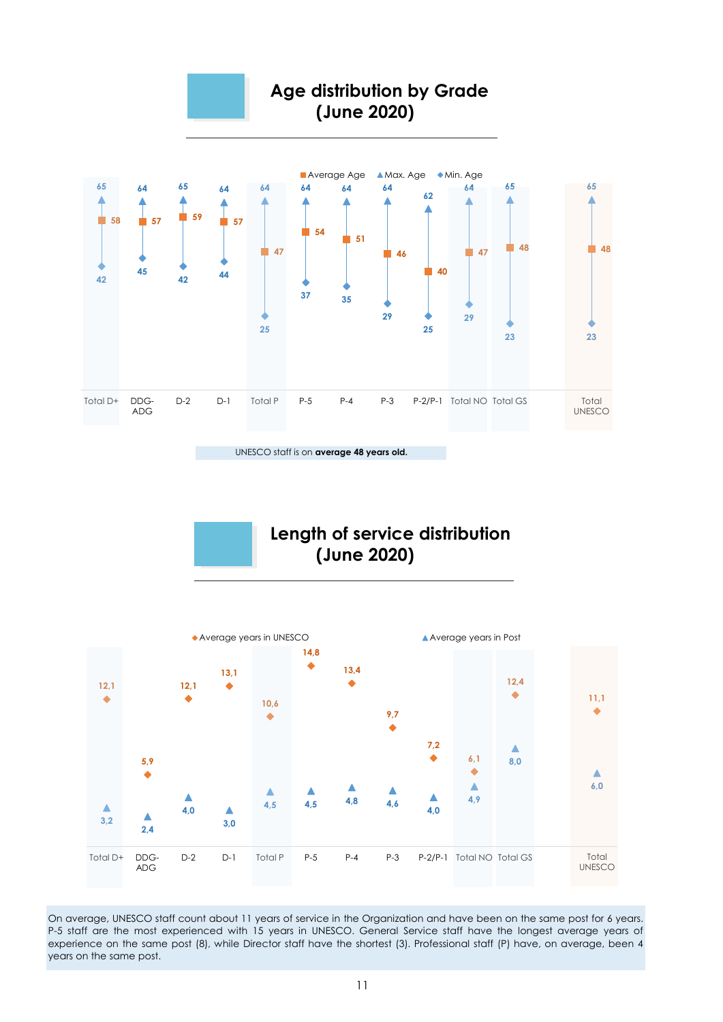

UNESCO staff is on **average 48 years old.**

**Length of service distribution (June 2020)**



P-5 staff are the most experienced with 15 years in UNESCO. General Service staff have the longest average years of experience on the same post (8), while Director staff have the shortest (3). Professional staff (P) have, on average, been 4 years on the same post. On average, UNESCO staff count about 11 years of service in the Organization and have been on the same post for 6 years.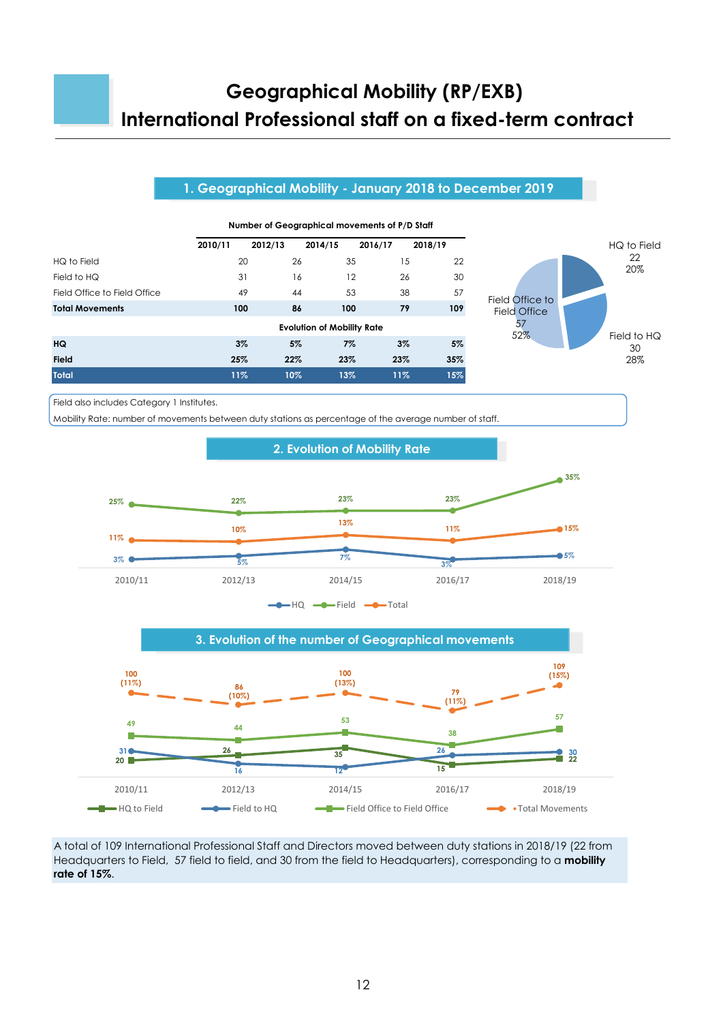# **Geographical Mobility (RP/EXB) International Professional staff on a fixed-term contract**

#### **1. Geographical Mobility - January 2018 to December 2019**



**Number of Geographical movements of P/D Staff**

Field also includes Category 1 Institutes.

Mobility Rate: number of movements between duty stations as percentage of the average number of staff.





A total of 109 International Professional Staff and Directors moved between duty stations in 2018/19 (22 from Headquarters to Field, 57 field to field, and 30 from the field to Headquarters), corresponding to a **mobility rate of 15%**.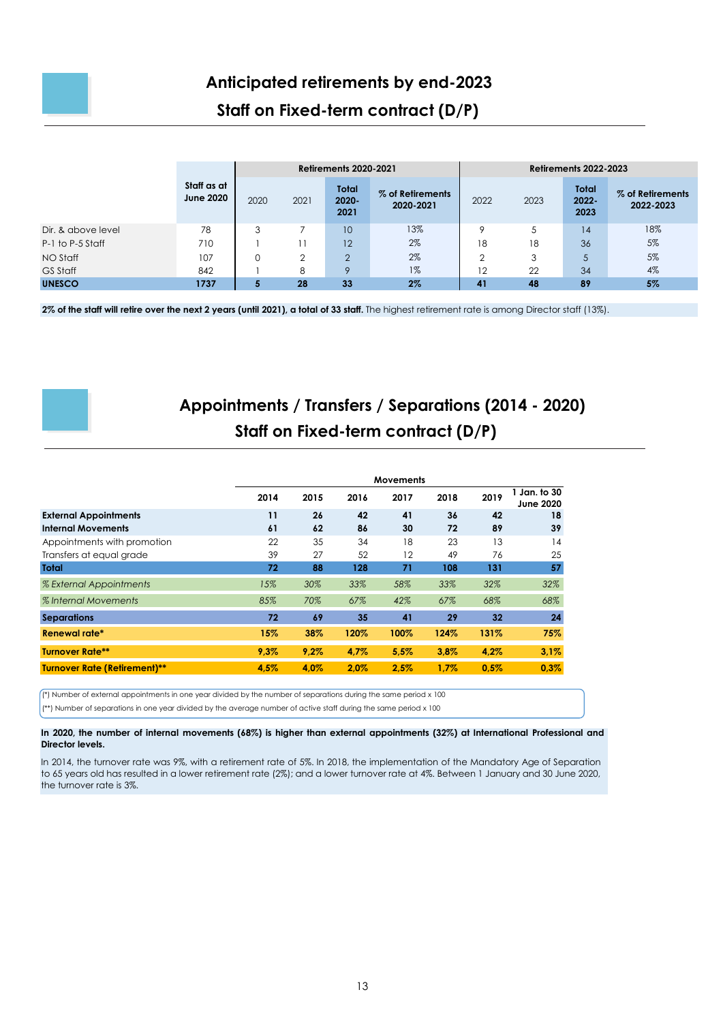

#### **Staff on Fixed-term contract (D/P)**

|                    |                                 |      |      | <b>Retirements 2020-2021</b>     |                               | <b>Retirements 2022-2023</b> |      |                                  |                               |  |  |
|--------------------|---------------------------------|------|------|----------------------------------|-------------------------------|------------------------------|------|----------------------------------|-------------------------------|--|--|
|                    | Staff as at<br><b>June 2020</b> | 2020 | 2021 | <b>Total</b><br>$2020 -$<br>2021 | % of Retirements<br>2020-2021 | 2022                         | 2023 | <b>Total</b><br>$2022 -$<br>2023 | % of Retirements<br>2022-2023 |  |  |
| Dir. & above level | 78                              | 3    |      | 10                               | 13%                           | $\circ$                      |      | 14                               | 18%                           |  |  |
| P-1 to P-5 Staff   | 710                             |      |      | 12                               | 2%                            | 18                           | 18   | 36                               | 5%                            |  |  |
| NO Staff           | 107                             | 0    | 2    | $\overline{2}$                   | 2%                            | $\overline{2}$               | 3    | 5                                | 5%                            |  |  |
| GS Staff           | 842                             |      | 8    | $\circ$                          | $1\%$                         | 12                           | 22   | 34                               | 4%                            |  |  |
| <b>UNESCO</b>      | 1737                            | 5    | 28   | 33                               | 2%                            | 41                           | 48   | 89                               | 5%                            |  |  |

**2% of the staff will retire over the next 2 years (until 2021), a total of 33 staff.** The highest retirement rate is among Director staff (13%).

#### **Appointments / Transfers / Separations (2014 - 2020) Staff on Fixed-term contract (D/P)**

|                                     | <b>Movements</b> |      |      |      |      |      |                                  |  |  |  |
|-------------------------------------|------------------|------|------|------|------|------|----------------------------------|--|--|--|
|                                     | 2014             | 2015 | 2016 | 2017 | 2018 | 2019 | 1 Jan. to 30<br><b>June 2020</b> |  |  |  |
| <b>External Appointments</b>        | 11               | 26   | 42   | 41   | 36   | 42   | 18                               |  |  |  |
| <b>Internal Movements</b>           | 61               | 62   | 86   | 30   | 72   | 89   | 39                               |  |  |  |
| Appointments with promotion         | 22               | 35   | 34   | 18   | 23   | 13   | 14                               |  |  |  |
| Transfers at equal grade            | 39               | 27   | 52   | 12   | 49   | 76   | 25                               |  |  |  |
| <b>Total</b>                        | 72               | 88   | 128  | 71   | 108  | 131  | 57                               |  |  |  |
| % External Appointments             | 15%              | 30%  | 33%  | 58%  | 33%  | 32%  | 32%                              |  |  |  |
| % Internal Movements                | 85%              | 70%  | 67%  | 42%  | 67%  | 68%  | 68%                              |  |  |  |
| <b>Separations</b>                  | 72               | 69   | 35   | 41   | 29   | 32   | 24                               |  |  |  |
| Renewal rate*                       | 15%              | 38%  | 120% | 100% | 124% | 131% | 75%                              |  |  |  |
| <b>Turnover Rate**</b>              | 9,3%             | 9,2% | 4,7% | 5,5% | 3,8% | 4,2% | 3.1%                             |  |  |  |
| <b>Turnover Rate (Retirement)**</b> | 4,5%             | 4,0% | 2,0% | 2.5% | 1,7% | 0.5% | 0.3%                             |  |  |  |

(\*) Number of external appointments in one year divided by the number of separations during the same period x 100

(\*\*) Number of separations in one year divided by the average number of active staff during the same period x 100

In 2020, the number of internal movements (68%) is higher than external appointments (32%) at International Professional and **Director levels.** 

In 2014, the turnover rate was 9%, with a retirement rate of 5%. In 2018, the implementation of the Mandatory Age of Separation to 65 years old has resulted in a lower retirement rate (2%); and a lower turnover rate at 4%. Between 1 January and 30 June 2020, the turnover rate is 3%.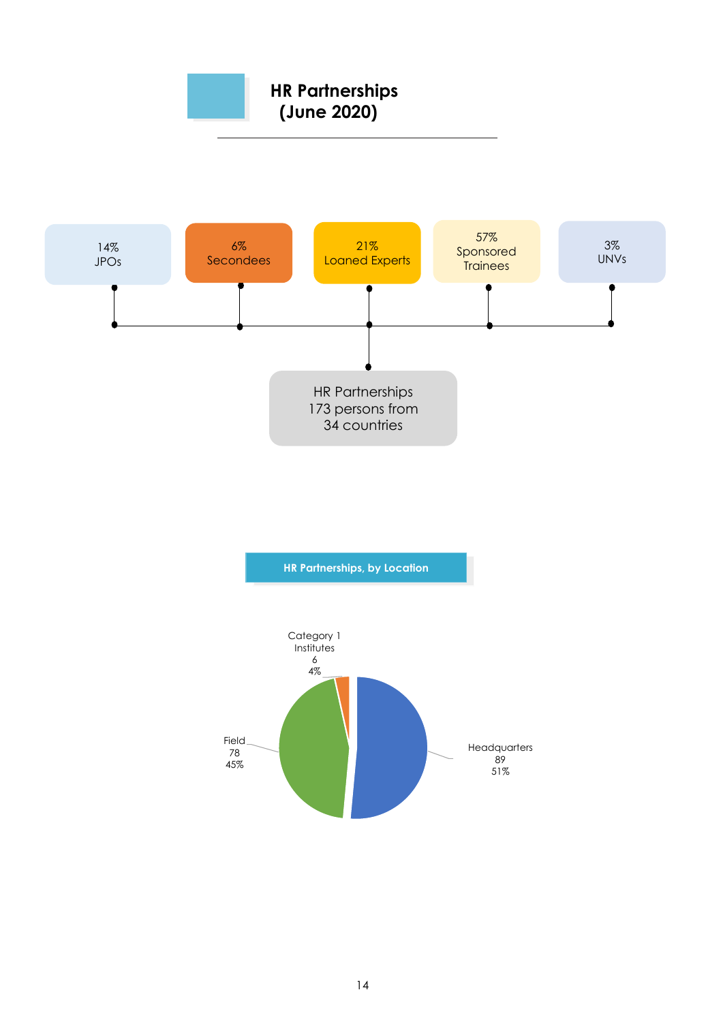



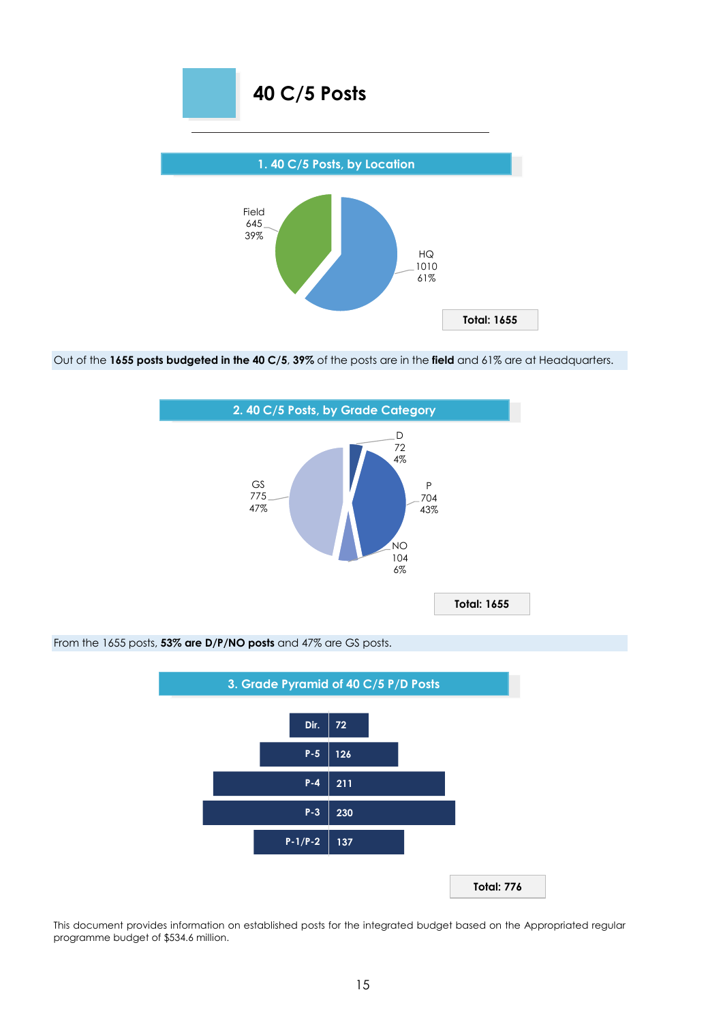

Out of the **1655 posts budgeted in the 40 C/5**, **39%** of the posts are in the **field** and 61% are at Headquarters.



From the 1655 posts, **53% are D/P/NO posts** and 47% are GS posts.

P-4 211 105,5 -105,5 -105,5 -105,5 -105,5 -105,5 -105,5 -105,5 -105,5 -105,5 -105,5 -105,5 -105,5 -105,5 -105, P-5 126 63 -63 Dir. 72 36 -36

This document provides information on established posts for the integrated budget based on the Appropriated regular programme budget of \$534.6 million.

**137**

**P-1/P-2**

**P-3**

**230**

**Total: 776**